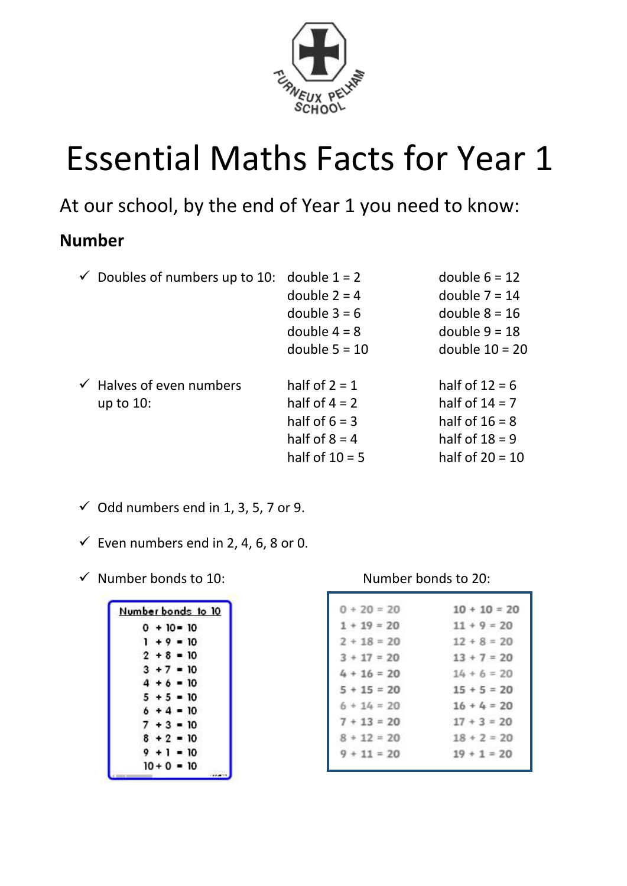

# Essential Maths Facts for Year 1

At our school, by the end of Year 1 you need to know:

#### **Number**

|              | double $1 = 2$                      | double $6 = 12$                           |  |
|--------------|-------------------------------------|-------------------------------------------|--|
|              | double $2 = 4$                      | double $7 = 14$                           |  |
|              | double $3 = 6$                      | double $8 = 16$                           |  |
|              | double $4 = 8$                      | double $9 = 18$                           |  |
|              | double $5 = 10$                     | double $10 = 20$                          |  |
|              | half of $2 = 1$                     | half of $12 = 6$                          |  |
| up to $10$ : | half of $4 = 2$                     | half of $14 = 7$                          |  |
|              | half of $6 = 3$                     | half of $16 = 8$                          |  |
|              | half of $8 = 4$                     | half of $18 = 9$                          |  |
|              | half of $10 = 5$                    | half of $20 = 10$                         |  |
|              | $\checkmark$ Halves of even numbers | $\checkmark$ Doubles of numbers up to 10: |  |

- $\checkmark$  Odd numbers end in 1, 3, 5, 7 or 9.
- $\checkmark$  Even numbers end in 2, 4, 6, 8 or 0.
- ✓ Number bonds to 10: Number bonds to 20:

|              |  | Number bonds to 10 |  |
|--------------|--|--------------------|--|
|              |  | $0 + 10 = 10$      |  |
|              |  | $1 + 9 = 10$       |  |
|              |  | $2 + 8 = 10$       |  |
| $3 + 7 = 10$ |  |                    |  |
|              |  | $4 + 6 = 10$       |  |
|              |  | $5 + 5 = 10$       |  |
|              |  | $6 + 4 = 10$       |  |
|              |  | $7 + 3 = 10$       |  |
|              |  | $8 + 2 = 10$       |  |
|              |  | $9 + 1 = 10$       |  |
|              |  | $10 + 0 = 10$      |  |
|              |  |                    |  |

| $0 + 20 = 20$ | $10 + 10 = 20$ |
|---------------|----------------|
| $1 + 19 = 20$ | $11 + 9 = 20$  |
| $2 + 18 = 20$ | $12 + 8 = 20$  |
| $3 + 17 = 20$ | $13 + 7 = 20$  |
| $4 + 16 = 20$ | $14 + 6 = 20$  |
| $5 + 15 = 20$ | $15 + 5 = 20$  |
| $6 + 14 = 20$ | $16 + 4 = 20$  |
| $7 + 13 = 20$ | $17 + 3 = 20$  |
| $8 + 12 = 20$ | $18 + 2 = 20$  |
| $9 + 11 = 20$ | $19 + 1 = 20$  |